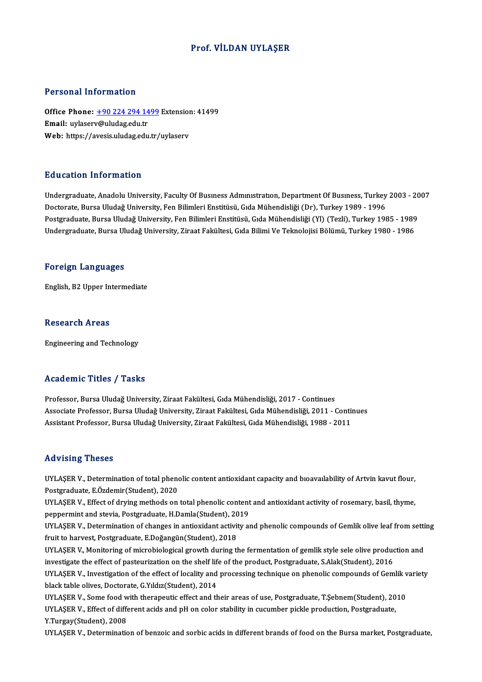### Prof. VİLDAN UYLAŞER

### Personal Information

Personal Information<br>Office Phone: <u>+90 224 294 1499</u> Extension: 41499<br>Email: wybserv@uludag.edu.tr Processing information<br>Office Phone: <u>+90 224 294 14</u><br>Email: uylaser[v@uludag.edu.tr](tel:+90 224 294 1499) Office Phone: <u>+90 224 294 1499</u> Extensior<br>Email: uylaserv@uludag.edu.tr<br>Web: https://avesis.uludag.edu.tr/uylaserv Web: https://avesis.uludag.edu.tr/uylaserv<br>Education Information

Undergraduate, Anadolu University, Faculty Of Business Administration, Department Of Business, Turkey 2003 - 2007 Doctorate, Bursa Uludağ University, Fen Bilimleri Enstitüsü, Gıda Mühendisliği (Dr), Turkey 1989 - 1996 Undergraduate, Anadolu University, Faculty Of Busmess Admmistration, Department Of Busmess, Turkey 2003 - 20<br>Doctorate, Bursa Uludağ University, Fen Bilimleri Enstitüsü, Gıda Mühendisliği (Dr), Turkey 1989 - 1996<br>Postgradu Doctorate, Bursa Uludağ University, Fen Bilimleri Enstitüsü, Gıda Mühendisliği (Dr), Turkey 1989 - 1996<br>Postgraduate, Bursa Uludağ University, Fen Bilimleri Enstitüsü, Gıda Mühendisliği (Yl) (Tezli), Turkey 1985 - 1989<br>Und Undergraduate, Bursa Uludağ University, Ziraat Fakültesi, Gıda Bilimi Ve Teknolojisi Bölümü, Turkey 1980 - 1986<br>Foreign Languages

English,B2Upper Intermediate

#### **Research Areas**

Engineering and Technology

#### Academic Titles / Tasks

Professor, Bursa Uludağ University, Ziraat Fakültesi, Gıda Mühendisliği, 2017 - Continues Associate Artice 7 - 1991<br>Professor, Bursa Uludağ University, Ziraat Fakültesi, Gıda Mühendisliği, 2017 - Continues<br>Associate Professor, Bursa Uludağ University, Ziraat Fakültesi, Gıda Mühendisliği, 2011 - Continues<br>Associ Professor, Bursa Uludağ University, Ziraat Fakültesi, Gıda Mühendisliği, 2017 - Continues<br>Associate Professor, Bursa Uludağ University, Ziraat Fakültesi, Gıda Mühendisliği, 2011 - Conti<br>Assistant Professor, Bursa Uludağ Un Assistant Professor, Bursa Uludağ University, Ziraat Fakültesi, Gıda Mühendisliği, 1988 - 2011<br>Advising Theses

Advising Theses<br>UYLAŞER V., Determination of total phenolic content antioxidant capacity and bıoavaılability of Artvin kavut flour,<br>Postaraduata E Ördemir(Student), 2020 Prost Poster<br>UYLAŞER V., Determination of total pheno<br>Postgraduate, E.Özdemir(Student), 2020<br>UYLASER V., Effect of druing methods on UYLAŞER V., Determination of total phenolic content antioxidant capacity and bioavailability of Artvin kavut flour,<br>Postgraduate, E.Özdemir(Student), 2020<br>UYLAŞER V., Effect of drying methods on total phenolic content and

Postgraduate, E.Özdemir(Student), 2020<br>UYLAŞER V., Effect of drying methods on total phenolic content and antioxidant activity of rosemary, basil, thyme,<br>peppermint and stevia, Postgraduate, H.Damla(Student), 2019 UYLAŞER V., Effect of drying methods on total phenolic content and antioxidant activity of rosemary, basil, thyme,<br>peppermint and stevia, Postgraduate, H.Damla(Student), 2019<br>UYLAŞER V., Determination of changes in antioxi

peppermint and stevia, Postgraduate, H.Damla(Student), 20<br>UYLAŞER V., Determination of changes in antioxidant activit<br>fruit to harvest, Postgraduate, E.Doğangün(Student), 2018<br>UYLASER V. Monitoring of misrobiological grout UYLAŞER V., Determination of changes in antioxidant activity and phenolic compounds of Gemlik olive leaf from setti<br>fruit to harvest, Postgraduate, E.Doğangün(Student), 2018<br>UYLAŞER V., Monitoring of microbiological growth

fruit to harvest, Postgraduate, E.Doğangün(Student), 2018<br>UYLAŞER V., Monitoring of microbiological growth during the fermentation of gemlik style sele olive production<br>IIVLASER V., Investigation of the effect of logality UYLAŞER V., Monitoring of microbiological growth during the fermentation of gemlik style sele olive production and<br>investigate the effect of pasteurization on the shelf life of the product, Postgraduate, S.Alak(Student), 2

investigate the effect of pasteurization on the shelf life<br>UYLAŞER V., Investigation of the effect of locality and<br>black table olives, Doctorate, G.Yıldız(Student), 2014<br>UYLASER V., Some food uith thereneutie effect and th UYLAŞER V., Investigation of the effect of locality and processing technique on phenolic compounds of Gemlik v<br>black table olives, Doctorate, G.Yıldız(Student), 2014<br>UYLAŞER V., Some food with therapeutic effect and their

black table olives, Doctorate, G.Yıldız(Student), 2014<br>UYLAŞER V., Some food with therapeutic effect and their areas of use, Postgraduate, T.Şebnem(Student), 20<br>UYLAŞER V., Effect of different acids and pH on color stabili UYLAŞER V., Some food w<br>UYLAŞER V., Effect of diffe<br>Y.Turgay(Student), 2008<br>UYLASER V., Doterminatie UYLAŞER V., Effect of different acids and pH on color stability in cucumber pickle production, Postgraduate,<br>1999). Y.Turgay(Student), 2008<br>UYLAŞER V., Determination of benzoic and sorbic acids in different brands of food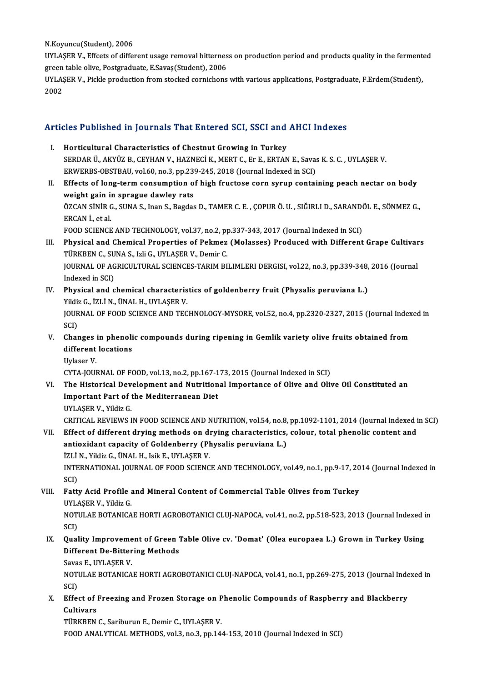N Koyuncu(Student), 2006

UYLAŞER V., Effcets of different usage removal bitterness on production period and products quality in the fermented green table olive, Postgraduate, E.Savas(Student), 2006

UYLASER V., Pickle production from stocked cornichons with various applications, Postgraduate, F.Erdem(Student), 2002

## Articles Published in Journals That Entered SCI, SSCI and AHCI Indexes

- I. Horticultural Characteristics of Chestnut Growing in Turkey SERDAR Ü., AKYÜZ B., CEYHAN V., HAZNECİ K., MERT C., Er E., ERTAN E., Savas K. S. C., UYLASER V. ERWERBS-OBSTBAU, vol.60, no.3, pp.239-245, 2018 (Journal Indexed in SCI)
- II. Effects of long-term consumption of high fructose corn syrup containing peach nectar on body weight gain in sprague dawley rats ÖZCAN SİNİR G., SUNA S., Inan S., Bagdas D., TAMER C. E. , ÇOPUR Ö. U. , SIĞIRLI D., SARANDÖL E., SÖNMEZ G., ERCAN İ, et al.

FOOD SCIENCE AND TECHNOLOGY, vol.37, no.2, pp.337-343, 2017 (Journal Indexed in SCI)

- III. Physical and Chemical Properties of Pekmez (Molasses) Produced with Different Grape Cultivars TÜRKBEN C., SUNA S., Izli G., UYLASER V., Demir C. JOURNAL OF AGRICULTURAL SCIENCES-TARIM BILIMLERI DERGISI, vol.22, no.3, pp.339-348, 2016 (Journal Indexed in SCI)
- IV. Physical and chemical characteristics of goldenberry fruit (Physalis peruviana L.) Yildiz G., İZLİ N., ÜNAL H., UYLAŞER V. JOURNAL OF FOOD SCIENCE AND TECHNOLOGY-MYSORE, vol.52, no.4, pp.2320-2327, 2015 (Journal Indexed in **SCD**
- V. Changes in phenolic compounds during ripening in Gemlik variety olive fruits obtained from different locations
	- Uylaser V

CYTA-JOURNAL OF FOOD, vol.13, no.2, pp.167-173, 2015 (Journal Indexed in SCI)

VI. The Historical Development and Nutritional Importance of Olive and Olive Oil Constituted an **Important Part of the Mediterranean Diet** UYLASER V., Yildiz G.

CRITICAL REVIEWS IN FOOD SCIENCE AND NUTRITION, vol.54, no.8, pp.1092-1101, 2014 (Journal Indexed in SCI)

VII. Effect of different drying methods on drying characteristics, colour, total phenolic content and antioxidant capacity of Goldenberry (Physalis peruviana L.) İZLİ N., Yildiz G., ÜNAL H., Isik E., UYLAŞER V.

INTERNATIONAL JOURNAL OF FOOD SCIENCE AND TECHNOLOGY, vol.49, no.1, pp.9-17, 2014 (Journal Indexed in SCI)

# VIII. Fatty Acid Profile and Mineral Content of Commercial Table Olives from Turkey UYLASER V., Yildiz G

NOTULAE BOTANICAE HORTI AGROBOTANICI CLUJ-NAPOCA, vol 41, no.2, pp.518-523, 2013 (Journal Indexed in SCI)

# IX. Quality Improvement of Green Table Olive cv. 'Domat' (Olea europaea L.) Grown in Turkey Using **Different De-Bittering Methods**

Savas E, UYLAŞER V

NOTULAE BOTANICAE HORTI AGROBOTANICI CLUJ-NAPOCA, vol.41, no.1, pp.269-275, 2013 (Journal Indexed in SCI)

X. Effect of Freezing and Frozen Storage on Phenolic Compounds of Raspberry and Blackberry Cultivars

TÜRKBEN C., Sariburun E., Demir C., UYLAŞER V. FOOD ANALYTICAL METHODS, vol.3, no.3, pp.144-153, 2010 (Journal Indexed in SCI)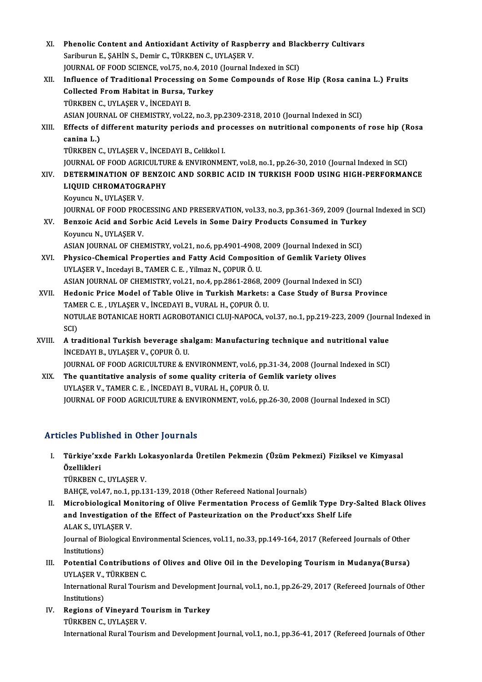- XI. Phenolic Content and Antioxidant Activity of Raspberry and Blackberry Cultivars<br>Seriburun E. SAHIN S. Domin G. TÜRKREN G. UVLASER V. Phenolic Content and Antioxidant Activity of Raspb<br>Sariburun E., ŞAHİN S., Demir C., TÜRKBEN C., UYLAŞER V.<br>JOUPMAL OF FOOD SCIENCE yel 75 ne 4,2010 (Journal In Phenolic Content and Antioxidant Activity of Raspberry and Black<br>Sariburun E., ŞAHİN S., Demir C., TÜRKBEN C., UYLAŞER V.<br>JOURNAL OF FOOD SCIENCE, vol.75, no.4, 2010 (Journal Indexed in SCI)<br>Influence of Traditional Proces Sariburun E., ȘAHİN S., Demir C., TÜRKBEN C., UYLAŞER V.<br>JOURNAL OF FOOD SCIENCE, vol.75, no.4, 2010 (Journal Indexed in SCI)<br>XII. Influence of Traditional Processing on Some Compounds of Rose Hip (Rosa canina L.) Fruits<br>C JOURNAL OF FOOD SCIENCE, vol.75, no.4, 2010 (Journal Indexed in SCI) TÜRKBENC.,UYLAŞERV., İNCEDAYIB. Collected From Habitat in Bursa, Turkey<br>TÜRKBEN C., UYLAŞER V., İNCEDAYI B.<br>ASIAN JOURNAL OF CHEMISTRY, vol.22, no.3, pp.2309-2318, 2010 (Journal Indexed in SCI)<br>Effects of different maturity periods and presesses en putri XIII. Effects of different maturity periods and processes on nutritional components of rose hip (Rosa canina L.) **ASIAN JOUR<br>Effects of<br>canina L.)**<br>TÜDKREN C TÜRKBENC.,UYLAŞERV., İNCEDAYIB.,Celikkol I. canina L.)<br>TÜRKBEN C., UYLAŞER V., İNCEDAYI B., Celikkol I.<br>JOURNAL OF FOOD AGRICULTURE & ENVIRONMENT, vol.8, no.1, pp.26-30, 2010 (Journal Indexed in SCI)<br>DETERMINATION OF RENZOIC AND SORRIC ACID IN TURKISH FOOD USING HIC XIV. DETERMINATION OF BENZOIC AND SORBIC ACID IN TURKISH FOOD USING HIGH-PERFORMANCE<br>LIQUID CHROMATOGRAPHY JOURNAL OF FOOD AGRICULTU<br>DETERMINATION OF BENZO<br>LIQUID CHROMATOGRAPHY<br>Komman N-LIVLASER V Koyuncu N., UYLAŞER V. LIQUID CHROMATOGRAPHY<br>Koyuncu N., UYLAŞER V.<br>JOURNAL OF FOOD PROCESSING AND PRESERVATION, vol.33, no.3, pp.361-369, 2009 (Journal Indexed in SCI)<br>Bongeja Asid and Sorbia Asid Lavels in Some Doiny Products Consumed in Turke Koyuncu N., UYLAŞER V.<br>JOURNAL OF FOOD PROCESSING AND PRESERVATION, vol.33, no.3, pp.361-369, 2009 (Journa<br>XV. Benzoic Acid and Sorbic Acid Levels in Some Dairy Products Consumed in Turkey<br>Kownay N. UVI ASER V. **JOURNAL OF FOOD PROC<br>Benzoic Acid and Sort<br>Koyuncu N., UYLAŞER V.<br>ASIAN IQUENAL OF CHE** XV. Benzoic Acid and Sorbic Acid Levels in Some Dairy Products Consumed in Turkey<br>Koyuncu N., UYLAŞER V.<br>ASIAN JOURNAL OF CHEMISTRY, vol.21, no.6, pp.4901-4908, 2009 (Journal Indexed in SCI) Koyuncu N., UYLAŞER V.<br>ASIAN JOURNAL OF CHEMISTRY, vol.21, no.6, pp.4901-4908, 2009 (Journal Indexed in SCI)<br>XVI. Physico-Chemical Properties and Fatty Acid Composition of Gemlik Variety Olives<br>IIVI ASER V. Insedsui B. TAM ASIAN JOURNAL OF CHEMISTRY, vol.21, no.6, pp.4901-4908,<br>Physico-Chemical Properties and Fatty Acid Composit<br>UYLAŞER V., Incedayi B., TAMER C. E. , Yilmaz N., ÇOPUR Ö. U.<br>ASIAN JOUPNAL OF CHEMISTRY, vol.21, no.4, np.2861-28 Physico-Chemical Properties and Fatty Acid Composition of Gemlik Variety Olives<br>UYLAŞER V., Incedayi B., TAMER C. E. , Yilmaz N., ÇOPUR Ö. U.<br>ASIAN JOURNAL OF CHEMISTRY, vol.21, no.4, pp.2861-2868, 2009 (Journal Indexed in UYLAŞER V., Incedayi B., TAMER C. E. , Yilmaz N., ÇOPUR Ö. U.<br>ASIAN JOURNAL OF CHEMISTRY, vol.21, no.4, pp.2861-2868, 2009 (Journal Indexed in SCI)<br>XVII. Hedonic Price Model of Table Olive in Turkish Markets: a Case St ASIAN JOURNAL OF CHEMISTRY, vol.21, no.4, pp.2861-2868, 20<br>Hedonic Price Model of Table Olive in Turkish Markets:<br>TAMER C. E. , UYLAŞER V., İNCEDAYI B., VURAL H., ÇOPUR Ö. U.<br>NOTULAE BOTANICAE HOPTI ACBOBOTANICI CLUI NABOC NOTULAE BOTANICAE HORTI AGROBOTANICI CLUJ-NAPOCA, vol.37, no.1, pp.219-223, 2009 (Journal Indexed in SCI) TAM<br>NOTI<br>SCI)<br>A tr: NOTULAE BOTANICAE HORTI AGROBOTANICI CLUJ-NAPOCA, vol.37, no.1, pp.219-223, 2009 (Journa<br>SCI)<br>XVIII. A traditional Turkish beverage shalgam: Manufacturing technique and nutritional value<br>INCEDAVI B. UVLASER V. CORUR Ö. U SCI)<br>A traditional Turkish beverage sh:<br>İNCEDAYI B., UYLAŞER V., ÇOPUR Ö. U.<br>JOUPMAL OF FOOD ACPICULTURE & F A traditional Turkish beverage shalgam: Manufacturing technique and nutritional value<br>İNCEDAYI B., UYLAŞER V., ÇOPUR Ö. U.<br>JOURNAL OF FOOD AGRICULTURE & ENVIRONMENT, vol.6, pp.31-34, 2008 (Journal Indexed in SCI)<br>The quant iNCEDAYI B., UYLAŞER V., ÇOPUR Ö. U.<br>JOURNAL OF FOOD AGRICULTURE & ENVIRONMENT, vol.6, pp.31-34, 2008 (Journal<br>XIX. The quantitative analysis of some quality criteria of Gemlik variety olives<br>UYLAŞER V., TAMER C. E., İNCED
	- JOURNAL OF FOOD AGRICULTURE & ENVIRONMENT, vol.6, pp.<br>The quantitative analysis of some quality criteria of Gel<br>UYLAŞER V., TAMER C. E. , İNCEDAYI B., VURAL H., ÇOPUR Ö. U.<br>JOUPNAL OF FOOD ACRICULTURE & ENVIRONMENT vol 6 n JOURNAL OF FOOD AGRICULTURE & ENVIRONMENT, vol.6, pp.26-30, 2008 (Journal Indexed in SCI)

# Articles Published in Other Journals

rticles Published in Other Journals<br>I. Türkiye'xxde Farklı Lokasyonlarda Üretilen Pekmezin (Üzüm Pekmezi) Fiziksel ve Kimyasal<br>Örellikleri Türkiye'xx<br>Türkiye'xx<br>Özellikleri<br>Tüpkpen c Türkiye'xxde Farklı Lo<br>Özellikleri<br>TÜRKBEN C., UYLAŞER V.<br>BAHCE vol 47 no 1 nn 13 Özellikleri<br>TÜRKBEN C., UYLAŞER V.<br>BAHÇE, vol.47, no.1, pp.131-139, 2018 (Other Refereed National Journals)

TÜRKBEN C., UYLAŞER V.<br>BAHÇE, vol.47, no.1, pp.131-139, 2018 (Other Refereed National Journals)<br>II. Microbiological Monitoring of Olive Fermentation Process of Gemlik Type Dry-Salted Black Olives<br>and Investigation of the E BAHÇE, vol.47, no.1, pp.131-139, 2018 (Other Refereed National Journals)<br>Microbiological Monitoring of Olive Fermentation Process of Gemlik Type Dry<br>and Investigation of the Effect of Pasteurization on the Product'xxs Shel and Investigation of the Effect of Pasteurization on the Product'xxs Shelf Life ALAK S., UYLAŞER V. and Investigation of the Effect of Pasteurization on the Product'xxs Shelf Life<br>ALAK S., UYLAŞER V.<br>Journal of Biological Environmental Sciences, vol.11, no.33, pp.149-164, 2017 (Refereed Journals of Other<br>Institutions)

ALAK S., UYL<br>Journal of Bio<br>Institutions)<br>Potential Co Journal of Biological Environmental Sciences, vol.11, no.33, pp.149-164, 2017 (Refereed Journals of Other<br>Institutions)<br>III. Potential Contributions of Olives and Olive Oil in the Developing Tourism in Mudanya(Bursa)<br>IIVI

Institutions)<br>Potential Contribution<br>UYLAŞER V., TÜRKBEN C.<br>International Bural Teuris Potential Contributions of Olives and Olive Oil in the Developing Tourism in Mudanya(Bursa)<br>UYLAŞER V., TÜRKBEN C.<br>International Rural Tourism and Development Journal, vol.1, no.1, pp.26-29, 2017 (Refereed Journals of Othe

UYLAŞER V., TÜRKBEN C.<br>International Rural Tourism and Development Journal, vol.1, no.1, pp.26-29, 2017 (Refereed Journals of Other<br>Institutions) International Rural Tourism and Developmen<br>Institutions)<br>IV. Regions of Vineyard Tourism in Turkey<br>T<sup>rip VDEN</sup> C UVLASER V

Institutions)<br>Regions of Vineyard To<br>TÜRKBEN C., UYLAŞER V.<br>International Bural Touris TÜRKBEN C., UYLAŞER V.<br>International Rural Tourism and Development Journal, vol.1, no.1, pp.36-41, 2017 (Refereed Journals of Other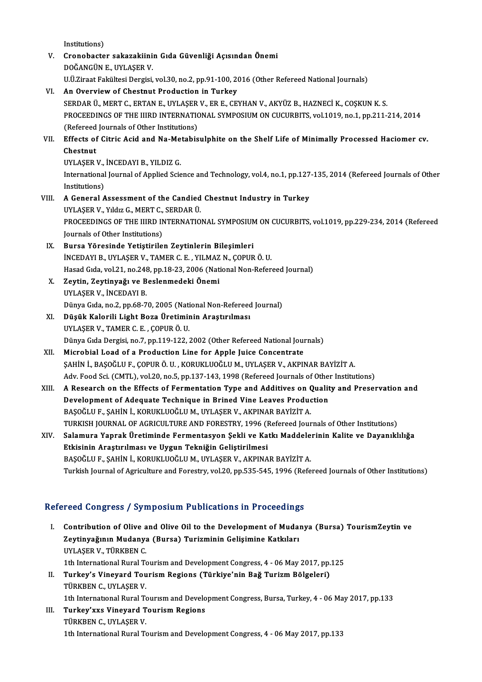Institutions)

- V. Cronobacter sakazakiinin Gıda Güvenliği Açısından Önemi DOĞANGÜNE.,UYLAŞERV. U.Ü.Ziraat Fakültesi Dergisi, vol.30, no.2, pp.91-100, 2016 (Other Refereed National Journals)
- VI. An Overviewof Chestnut Production in Turkey SERDAR Ü., MERT C., ERTAN E., UYLAŞER V., ER E., CEYHAN V., AKYÜZ B., HAZNECİ K., COŞKUN K. S. An Overview of Chestnut Production in Turkey<br>SERDAR Ü., MERT C., ERTAN E., UYLAŞER V., ER E., CEYHAN V., AKYÜZ B., HAZNECİ K., COŞKUN K. S.<br>PROCEEDINGS OF THE IIIRD INTERNATIONAL SYMPOSIUM ON CUCURBITS, vol.1019, no.1, pp. SERDAR Ü., MERT C., ERTAN E., UYLAŞER<br>PROCEEDINGS OF THE IIIRD INTERNATION<br>(Refereed Journals of Other Institutions) PROCEEDINGS OF THE IIIRD INTERNATIONAL SYMPOSIUM ON CUCURBITS, vol.1019, no.1, pp.211-214, 2014<br>(Refereed Journals of Other Institutions)<br>VII. Effects of Citric Acid and Na-Metabisulphite on the Shelf Life of Minimally Pro (Refereed<br>Effects of<br>Chestnut<br>UVLASEP Effects of Citric Acid and Na-Me<br>Chestnut<br>UYLAŞER V., İNCEDAYI B., YILDIZ G.<br>International Journal of Annlied Scie Chestnut<br>INTER V., INCEDAYI B., YILDIZ G.<br>International Journal of Applied Science and Technology, vol.4, no.1, pp.127-135, 2014 (Refereed Journals of Other<br>Institutions) UYLAŞER V., İNCEDAYI B., YILDIZ G.
- International Journal of Applied Science and Technology, vol.4, no.1, pp.127<br>Institutions)<br>VIII. A General Assessment of the Candied Chestnut Industry in Turkey<br>IIVI ASER V. Vidig C. MERT C. SERDAR Ü Institutions)<br>A General Assessment of the Candied<br>UYLAŞER V., Yıldız G., MERT C., SERDAR Ü.<br>PROCEEDINCS OF THE UIRD INTERNATIO A General Assessment of the Candied Chestnut Industry in Turkey<br>UYLAŞER V., Yıldız G., MERT C., SERDAR Ü.<br>PROCEEDINGS OF THE IIIRD INTERNATIONAL SYMPOSIUM ON CUCURBITS, vol.1019, pp.229-234, 2014 (Refereed<br>Journals of Othe UYLAŞER V., Yıldız G., MERT C.,<br>PROCEEDINGS OF THE IIIRD IN<br>Journals of Other Institutions)<br>Bunge Vänesinde Vetistinile PROCEEDINGS OF THE IIIRD INTERNATIONAL SYMPOSIUM<br>Journals of Other Institutions)<br>IX. Bursa Yöresinde Yetiştirilen Zeytinlerin Bileşimleri<br>INCEDAVI BULVI ASER V. TAMER C.E., VILMAZ N. CORUP
- Journals of Other Institutions)<br>IX. Bursa Yöresinde Yetiştirilen Zeytinlerin Bileşimleri<br>İNCEDAYI B., UYLAŞER V., TAMER C. E. , YILMAZ N., ÇOPUR Ö. U. Bursa Yöresinde Yetiştirilen Zeytinlerin Bileşimleri<br>İNCEDAYI B., UYLAŞER V., TAMER C. E. , YILMAZ N., ÇOPUR Ö. U.<br>Hasad Gıda, vol.21, no.248, pp.18-23, 2006 (National Non-Refereed Journal)<br>Zeytin, Zeytinyeği ve Beslenmede
- X. Zeytin, Zeytinyağı ve Beslenmedeki Önemi Hasad Gıda, vol.21, no.248<br>Zeytin, Zeytinyağı ve B<br>UYLAŞER V., İNCEDAYI B.<br>Dünya Gıda no 2, nn 69, 7 Zeytin, Zeytinyağı ve Beslenmedeki Önemi<br>UYLAŞER V., İNCEDAYI B.<br>Dünya Gıda, no.2, pp.68-70, 2005 (National Non-Refereed Journal)<br>Düsük Kalerili Lisht Bega Ünetiminin Anastırılması
- XI. Düşük Kalorili Light Boza Üretiminin Araştırılması Dünya Gıda, no.2, pp.68-70, 2005 (Nati<br>Düşük Kalorili Light Boza Üretimir<br>UYLAŞER V., TAMER C. E. , ÇOPUR Ö. U.<br>Dünya Gıda Dergisi no.7, nn 119, 122, . Düşük Kalorili Light Boza Üretiminin Araştırılması<br>UYLAŞER V., TAMER C. E. , ÇOPUR Ö. U.<br>Dünya Gıda Dergisi, no.7, pp.119-122, 2002 (Other Refereed National Journals)<br>Misrobial Load of a Brodustion Line for Annle Luise Con UYLAŞER V., TAMER C. E. , ÇOPUR Ö. U.<br>Dünya Gıda Dergisi, no.7, pp.119-122, 2002 (Other Refereed National Journal Load of a Production Line for Apple Juice Concentrate<br>SAHIN İ. PASOČLU E. COPUR Ö. U. KOPUKLUQČLUM, UVLASER
- XII. Microbial Load of a Production Line for Apple Juice Concentrate<br>SAHİN İ., BAŞOĞLU F., ÇOPUR Ö. U., KORUKLUOĞLU M., UYLAŞER V., AKPINAR BAYİZİT A. Microbial Load of a Production Line for Apple Juice Concentrate<br>SAHİN İ., BAŞOĞLU F., ÇOPUR Ö. U. , KORUKLUOĞLU M., UYLAŞER V., AKPINAR BAYİZİT A.<br>Adv. Food Sci. (CMTL), vol.20, no.5, pp.137-143, 1998 (Refereed Journals of
- XIII. A Research on the Effects of Fermentation Type and Additives on Quality and Preservation and<br>Development of Adequate Technique in Brined Vine Leaves Production Adv. Food Sci. (CMTL), vol.20, no.5, pp.137-143, 1998 (Refereed Journals of Other<br>A Research on the Effects of Fermentation Type and Additives on Qualit<br>Development of Adequate Technique in Brined Vine Leaves Production<br>RA BAŞOĞLU F., ŞAHİN İ., KORUKLUOĞLU M., UYLAŞER V., AKPINAR BAYİZİT A. TURKISH JOURNAL OF AGRICULTURE AND FORESTRY, 1996 (Refereed Journals of Other Institutions) BAŞOĞLU F., ŞAHİN İ., KORUKLUOĞLU M., UYLAŞER V., AKPINAR BAYİZİT A.<br>TURKISH JOURNAL OF AGRICULTURE AND FORESTRY, 1996 (Refereed Journals of Other Institutions)<br>XIV. Salamura Yaprak Üretiminde Fermentasyon Şekli ve Kat

# TURKISH JOURNAL OF AGRICULTURE AND FORESTRY, 1996 (I<br>Salamura Yaprak Üretiminde Fermentasyon Şekli ve Ka<br>Etkisinin Araştırılması ve Uygun Tekniğin Geliştirilmesi<br>BASQĞLU E. SAHİN İ. KORUKLUQĞLU M. UYLASER V. AKRINA Salamura Yaprak Üretiminde Fermentasyon Şekli ve Katkı Maddele<br>Etkisinin Araştırılması ve Uygun Tekniğin Geliştirilmesi<br>BAŞOĞLU F., ŞAHİN İ., KORUKLUOĞLU M., UYLAŞER V., AKPINAR BAYİZİT A.<br>Turkish Journal of Agrisulture an Etkisinin Araştırılması ve Uygun Tekniğin Geliştirilmesi<br>BAŞOĞLU F., ŞAHİN İ., KORUKLUOĞLU M., UYLAŞER V., AKPINAR BAYİZİT A.<br>Turkish Journal of Agriculture and Forestry, vol.20, pp.535-545, 1996 (Refereed Journals of Othe

# Refereed Congress / Symposium Publications in Proceedings

- I. Contribution of Olive and Olive Oil to the Development of Mudanya (Bursa) TourismZeytin ve Zeytinyağının Mudanya (Bursa) Turizminin Gelişimine Katkıları<br>Zeytinyağının Mudanya (Bursa) Turizminin Gelişimine Katkıları<br>UNI ASER V. TÜRKREN C Contribution of Olive a<br>Zeytinyağının Mudanya<br>UYLAŞER V., TÜRKBEN C.<br>1th International Bural Te Zeytinyağının Mudanya (Bursa) Turizminin Gelişimine Katkıları<br>UYLAŞER V., TÜRKBEN C.<br>1th International Rural Tourism and Development Congress, 4 - 06 May 2017, pp.125<br>Turkov's Vinovard Tourism Bozions (Türkiyo'nin Boğ Turi UYLAŞER V., TÜRKBEN C.<br>1th International Rural Tourism and Development Congress, 4 - 06 May 2017, pp.<br>II. Turkey's Vineyard Tourism Regions (Türkiye'nin Bağ Turizm Bölgeleri)<br>TÜRKEEN C. UVLASER V. 1th International Rural To<br>Turkey's Vineyard Tou<br>TÜRKBEN C., UYLAŞER V.<br>1th International Bural To II. Turkey's Vineyard Tourism Regions (Türkiye'nin Bağ Turizm Bölgeleri)<br>TÜRKBEN C., UYLAŞER V.<br>1th International Rural Tourism and Development Congress, Bursa, Turkey, 4 - 06 May 2017, pp.133 TÜRKBEN C., UYLAŞER V.<br>1th International Rural Tourism and Develo<br>III. Turkey'xxs Vineyard Tourism Regions<br>TÜRKEEN C. UVLASER V.
- 1th International Rural To<br>Turkey'xxs Vineyard T<br>TÜRKBEN C., UYLAŞER V.<br>1th International Bural To TÜRKBEN C., UYLAŞER V.<br>1th International Rural Tourism and Development Congress, 4 - 06 May 2017, pp.133